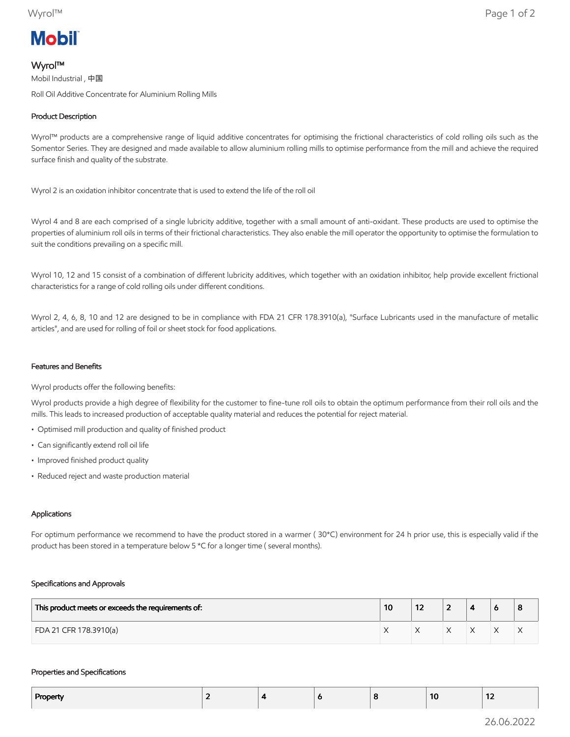# **Mobil**

## Wyrol™

Mobil Industrial , 中国 Roll Oil Additive Concentrate for Aluminium Rolling Mills

## Product Description

Wyrol™ products are a comprehensive range of liquid additive concentrates for optimising the frictional characteristics of cold rolling oils such as the Somentor Series. They are designed and made available to allow aluminium rolling mills to optimise performance from the mill and achieve the required surface finish and quality of the substrate.

Wyrol 2 is an oxidation inhibitor concentrate that is used to extend the life of the roll oil

Wyrol 4 and 8 are each comprised of a single lubricity additive, together with a small amount of anti-oxidant. These products are used to optimise the properties of aluminium roll oils in terms of their frictional characteristics. They also enable the mill operator the opportunity to optimise the formulation to suit the conditions prevailing on a specific mill.

Wyrol 10, 12 and 15 consist of a combination of different lubricity additives, which together with an oxidation inhibitor, help provide excellent frictional characteristics for a range of cold rolling oils under different conditions.

Wyrol 2, 4, 6, 8, 10 and 12 are designed to be in compliance with FDA 21 CFR 178.3910(a), "Surface Lubricants used in the manufacture of metallic articles", and are used for rolling of foil or sheet stock for food applications.

### Features and Benefits

Wyrol products offer the following benefits:

Wyrol products provide a high degree of flexibility for the customer to fine-tune roll oils to obtain the optimum performance from their roll oils and the mills. This leads to increased production of acceptable quality material and reduces the potential for reject material.

- Optimised mill production and quality of finished product
- Can significantly extend roll oil life
- Improved finished product quality
- Reduced reject and waste production material

#### Applications

For optimum performance we recommend to have the product stored in a warmer ( 30\*C) environment for 24 h prior use, this is especially valid if the product has been stored in a temperature below 5 \*C for a longer time ( several months).

#### Specifications and Approvals

| This product meets or exceeds the requirements of: | 10 | --<br>1 Z | - |  | o |
|----------------------------------------------------|----|-----------|---|--|---|
| FDA 21 CFR 178.3910(a)                             |    |           |   |  | ∧ |

#### Properties and Specifications

| Property<br>. . | -- | $\overline{\phantom{a}}$ |  | -10 | $\sim$<br>$\mathbf{z}$ |
|-----------------|----|--------------------------|--|-----|------------------------|
|                 |    |                          |  |     |                        |